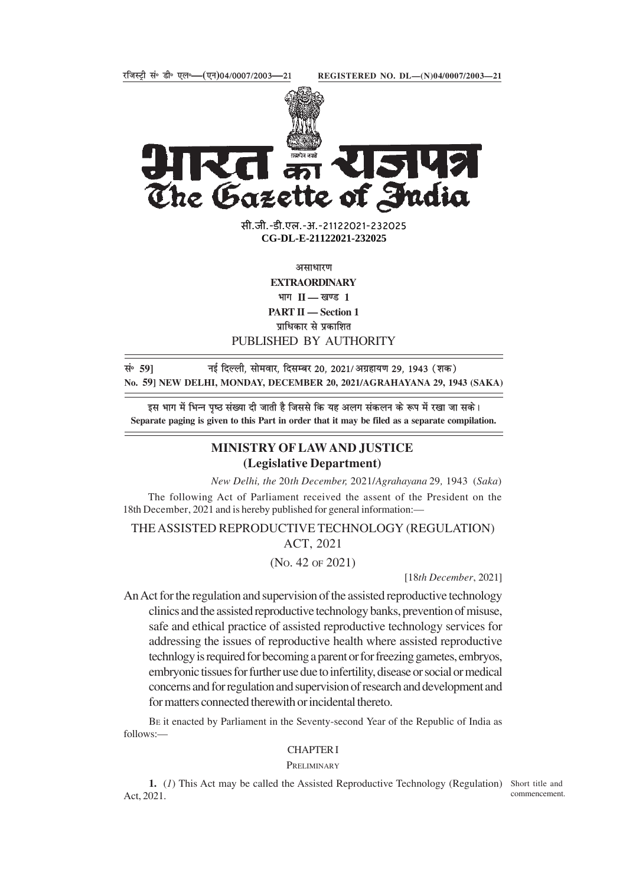

15142 The Gazette of India

> सी.जी.-डी.एल.-अ.-21122021-232025 **xxxGIDExxx CG-DL-E-21122021-232025**

> > असाधारण

**EXTRAORDINARY** भाग II — खण्ड 1 **PART II — Section 1**

प्राधिकार से प्रकाशित

PUBLISHED BY AUTHORITY

lañ **59]** ubZ fnYyh] lkseokj] fnlEcj 20] 2021@vxzgk;.k 29] 1943 ¼'kd½ **No. 59] NEW DELHI, MONDAY, DECEMBER 20, 2021/AGRAHAYANA 29, 1943 (SAKA)**

इस भाग में भिन्न पृष्ठ संख्या दी जाती है जिससे कि यह अलग संकलन के रूप में रखा जा सके। **Separate paging is given to this Part in order that it may be filed as a separate compilation.**

# **MINISTRY OF LAW AND JUSTICE (Legislative Department)**

*New Delhi, the* 20*th December,* 2021/*Agrahayana* 29*,* 1943 (*Saka*) The following Act of Parliament received the assent of the President on the 18th December, 2021 and is hereby published for general information:—

THE ASSISTED REPRODUCTIVE TECHNOLOGY (REGULATION) ACT, 2021

(NO. 42 OF 2021)

[18*th December*, 2021]

An Act for the regulation and supervision of the assisted reproductive technology clinics and the assisted reproductive technology banks, prevention of misuse, safe and ethical practice of assisted reproductive technology services for addressing the issues of reproductive health where assisted reproductive technlogy is required for becoming a parent or for freezing gametes, embryos, embryonic tissues for further use due to infertility, disease or social or medical concerns and for regulation and supervision of research and development and for matters connected therewith or incidental thereto.

BE it enacted by Parliament in the Seventy-second Year of the Republic of India as follows:—

### CHAPTER I

## PRELIMINARY

1. (1) This Act may be called the Assisted Reproductive Technology (Regulation) Short title and Act, 2021. commencement.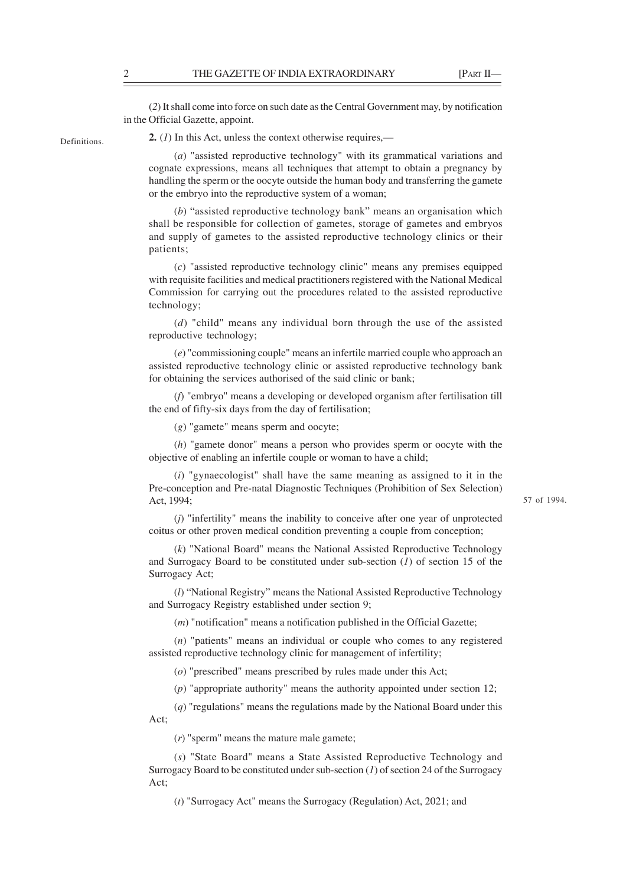(*2*) It shall come into force on such date as the Central Government may, by notification in the Official Gazette, appoint.

Definitions.

**2.** (*1*) In this Act, unless the context otherwise requires,—

(*a*) "assisted reproductive technology" with its grammatical variations and cognate expressions, means all techniques that attempt to obtain a pregnancy by handling the sperm or the oocyte outside the human body and transferring the gamete or the embryo into the reproductive system of a woman;

(*b*) "assisted reproductive technology bank" means an organisation which shall be responsible for collection of gametes, storage of gametes and embryos and supply of gametes to the assisted reproductive technology clinics or their patients;

(*c*) "assisted reproductive technology clinic" means any premises equipped with requisite facilities and medical practitioners registered with the National Medical Commission for carrying out the procedures related to the assisted reproductive technology;

(*d*) "child" means any individual born through the use of the assisted reproductive technology;

(*e*) "commissioning couple" means an infertile married couple who approach an assisted reproductive technology clinic or assisted reproductive technology bank for obtaining the services authorised of the said clinic or bank;

(*f*) "embryo" means a developing or developed organism after fertilisation till the end of fifty-six days from the day of fertilisation;

(*g*) "gamete" means sperm and oocyte;

(*h*) "gamete donor" means a person who provides sperm or oocyte with the objective of enabling an infertile couple or woman to have a child;

(*i*) "gynaecologist" shall have the same meaning as assigned to it in the Pre-conception and Pre-natal Diagnostic Techniques (Prohibition of Sex Selection) Act, 1994;

57 of 1994.

(*j*) "infertility" means the inability to conceive after one year of unprotected coitus or other proven medical condition preventing a couple from conception;

(*k*) "National Board" means the National Assisted Reproductive Technology and Surrogacy Board to be constituted under sub-section (*1*) of section 15 of the Surrogacy Act;

(*l*) "National Registry" means the National Assisted Reproductive Technology and Surrogacy Registry established under section 9;

(*m*) "notification" means a notification published in the Official Gazette;

(*n*) "patients" means an individual or couple who comes to any registered assisted reproductive technology clinic for management of infertility;

(*o*) "prescribed" means prescribed by rules made under this Act;

(*p*) "appropriate authority" means the authority appointed under section 12;

(*q*) "regulations" means the regulations made by the National Board under this Act;

(*r*) "sperm" means the mature male gamete;

(*s*) "State Board" means a State Assisted Reproductive Technology and Surrogacy Board to be constituted under sub-section (*1*) of section 24 of the Surrogacy Act;

(*t*) "Surrogacy Act" means the Surrogacy (Regulation) Act, 2021; and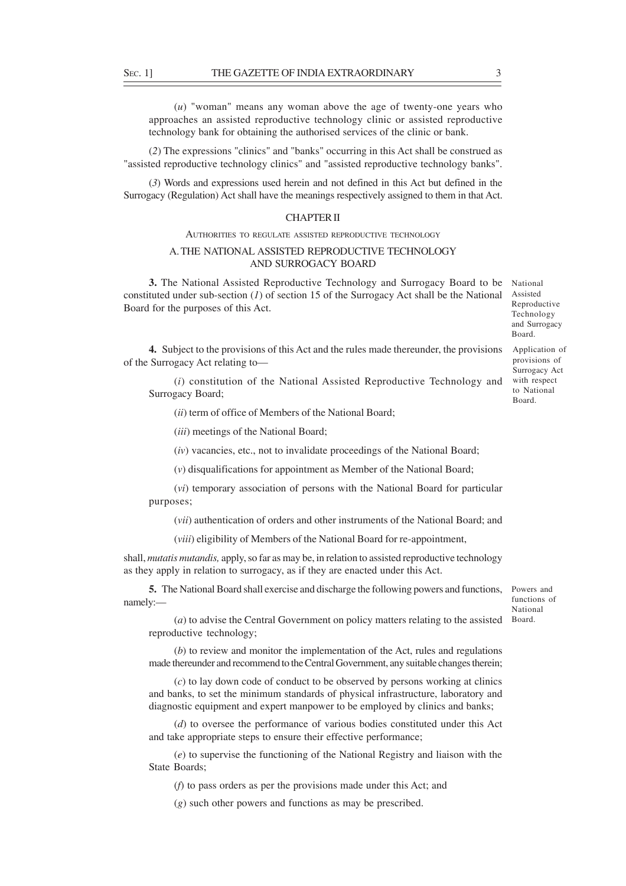(*u*) "woman" means any woman above the age of twenty-one years who approaches an assisted reproductive technology clinic or assisted reproductive technology bank for obtaining the authorised services of the clinic or bank.

(*2*) The expressions "clinics" and "banks" occurring in this Act shall be construed as "assisted reproductive technology clinics" and "assisted reproductive technology banks".

(*3*) Words and expressions used herein and not defined in this Act but defined in the Surrogacy (Regulation) Act shall have the meanings respectively assigned to them in that Act.

### CHAPTER II

#### AUTHORITIES TO REGULATE ASSISTED REPRODUCTIVE TECHNOLOGY

## A. THE NATIONAL ASSISTED REPRODUCTIVE TECHNOLOGY AND SURROGACY BOARD

**3.** The National Assisted Reproductive Technology and Surrogacy Board to be constituted under sub-section (*1*) of section 15 of the Surrogacy Act shall be the National Board for the purposes of this Act.

National Assisted Reproductive Technology and Surrogacy Board.

Application of provisions of Surrogacy Act with respect to National Board.

**4.** Subject to the provisions of this Act and the rules made thereunder, the provisions of the Surrogacy Act relating to—

(*i*) constitution of the National Assisted Reproductive Technology and Surrogacy Board;

(*ii*) term of office of Members of the National Board;

(*iii*) meetings of the National Board;

(*iv*) vacancies, etc., not to invalidate proceedings of the National Board;

(*v*) disqualifications for appointment as Member of the National Board;

(*vi*) temporary association of persons with the National Board for particular purposes;

(*vii*) authentication of orders and other instruments of the National Board; and

(*viii*) eligibility of Members of the National Board for re-appointment,

shall, *mutatis mutandis*, apply, so far as may be, in relation to assisted reproductive technology as they apply in relation to surrogacy, as if they are enacted under this Act.

**5.** The National Board shall exercise and discharge the following powers and functions, namely:—

Powers and functions of National Board.

(*a*) to advise the Central Government on policy matters relating to the assisted reproductive technology;

(*b*) to review and monitor the implementation of the Act, rules and regulations made thereunder and recommend to the Central Government, any suitable changes therein;

(*c*) to lay down code of conduct to be observed by persons working at clinics and banks, to set the minimum standards of physical infrastructure, laboratory and diagnostic equipment and expert manpower to be employed by clinics and banks;

(*d*) to oversee the performance of various bodies constituted under this Act and take appropriate steps to ensure their effective performance;

(*e*) to supervise the functioning of the National Registry and liaison with the State Boards;

(*f*) to pass orders as per the provisions made under this Act; and

(*g*) such other powers and functions as may be prescribed.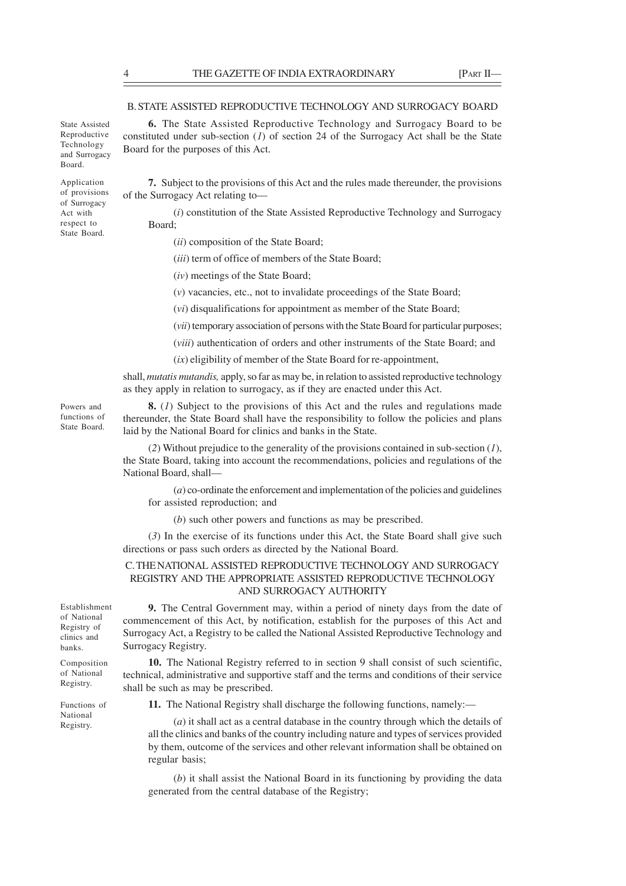## B. STATE ASSISTED REPRODUCTIVE TECHNOLOGY AND SURROGACY BOARD

**6.** The State Assisted Reproductive Technology and Surrogacy Board to be constituted under sub-section (*1*) of section 24 of the Surrogacy Act shall be the State Board for the purposes of this Act. State Assisted Reproductive

> **7.** Subject to the provisions of this Act and the rules made thereunder, the provisions of the Surrogacy Act relating to—

(*i*) constitution of the State Assisted Reproductive Technology and Surrogacy Board;

- (*ii*) composition of the State Board;
- (*iii*) term of office of members of the State Board;
- (*iv*) meetings of the State Board;
- (*v*) vacancies, etc., not to invalidate proceedings of the State Board;
- (*vi*) disqualifications for appointment as member of the State Board;

(*vii*) temporary association of persons with the State Board for particular purposes;

(*viii*) authentication of orders and other instruments of the State Board; and

(*ix*) eligibility of member of the State Board for re-appointment,

shall, *mutatis mutandis,* apply, so far as may be, in relation to assisted reproductive technology as they apply in relation to surrogacy, as if they are enacted under this Act.

**8.** (*1*) Subject to the provisions of this Act and the rules and regulations made thereunder, the State Board shall have the responsibility to follow the policies and plans laid by the National Board for clinics and banks in the State. functions of

> (*2*) Without prejudice to the generality of the provisions contained in sub-section (*1*), the State Board, taking into account the recommendations, policies and regulations of the National Board, shall—

(*a*) co-ordinate the enforcement and implementation of the policies and guidelines for assisted reproduction; and

(*b*) such other powers and functions as may be prescribed.

(*3*) In the exercise of its functions under this Act, the State Board shall give such directions or pass such orders as directed by the National Board.

### C. THE NATIONAL ASSISTED REPRODUCTIVE TECHNOLOGY AND SURROGACY REGISTRY AND THE APPROPRIATE ASSISTED REPRODUCTIVE TECHNOLOGY AND SURROGACY AUTHORITY

Establishment of National Registry of clinics and banks.

Composition of National Registry.

**9.** The Central Government may, within a period of ninety days from the date of commencement of this Act, by notification, establish for the purposes of this Act and Surrogacy Act, a Registry to be called the National Assisted Reproductive Technology and Surrogacy Registry.

**10.** The National Registry referred to in section 9 shall consist of such scientific, technical, administrative and supportive staff and the terms and conditions of their service shall be such as may be prescribed.

Functions of National Registry.

**11.** The National Registry shall discharge the following functions, namely:—

(*a*) it shall act as a central database in the country through which the details of all the clinics and banks of the country including nature and types of services provided by them, outcome of the services and other relevant information shall be obtained on regular basis;

(*b*) it shall assist the National Board in its functioning by providing the data generated from the central database of the Registry;

Technology and Surrogacy Board. Application

of provisions of Surrogacy Act with respect to State Board.

Powers and

State Board.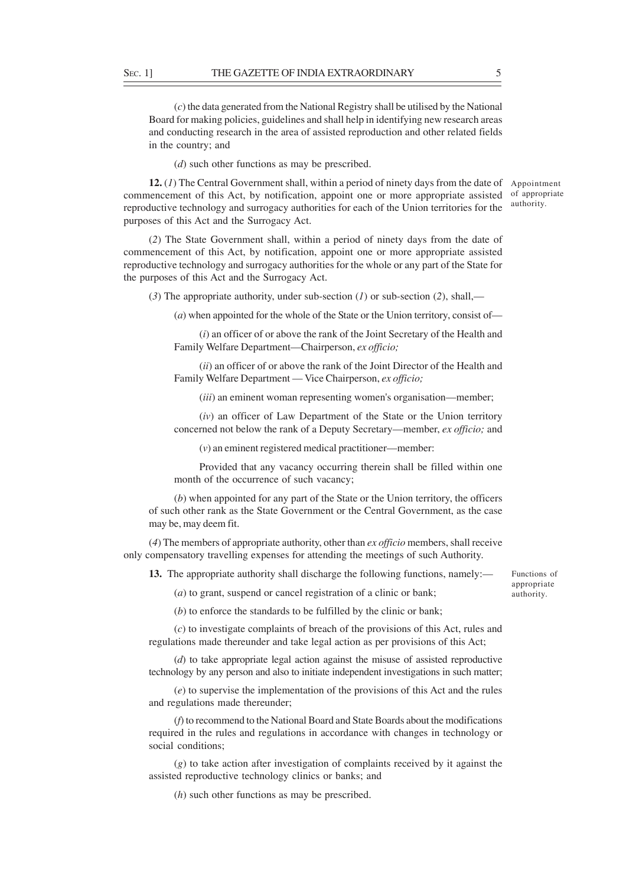(*c*) the data generated from the National Registry shall be utilised by the National Board for making policies, guidelines and shall help in identifying new research areas and conducting research in the area of assisted reproduction and other related fields in the country; and

(*d*) such other functions as may be prescribed.

**12.** (1) The Central Government shall, within a period of ninety days from the date of Appointment commencement of this Act, by notification, appoint one or more appropriate assisted reproductive technology and surrogacy authorities for each of the Union territories for the purposes of this Act and the Surrogacy Act. of appropriate authority.

(*2*) The State Government shall, within a period of ninety days from the date of commencement of this Act, by notification, appoint one or more appropriate assisted reproductive technology and surrogacy authorities for the whole or any part of the State for the purposes of this Act and the Surrogacy Act.

(*3*) The appropriate authority, under sub-section (*1*) or sub-section (*2*), shall,—

(*a*) when appointed for the whole of the State or the Union territory, consist of—

(*i*) an officer of or above the rank of the Joint Secretary of the Health and Family Welfare Department—Chairperson, *ex officio;*

(*ii*) an officer of or above the rank of the Joint Director of the Health and Family Welfare Department — Vice Chairperson, *ex officio;*

(*iii*) an eminent woman representing women's organisation—member;

(*iv*) an officer of Law Department of the State or the Union territory concerned not below the rank of a Deputy Secretary—member, *ex officio;* and

(*v*) an eminent registered medical practitioner—member:

Provided that any vacancy occurring therein shall be filled within one month of the occurrence of such vacancy;

(*b*) when appointed for any part of the State or the Union territory, the officers of such other rank as the State Government or the Central Government, as the case may be, may deem fit.

(*4*) The members of appropriate authority, other than *ex officio* members, shall receive only compensatory travelling expenses for attending the meetings of such Authority.

**13.** The appropriate authority shall discharge the following functions, namely:—

Functions of appropriate authority.

(*a*) to grant, suspend or cancel registration of a clinic or bank;

(*b*) to enforce the standards to be fulfilled by the clinic or bank;

(*c*) to investigate complaints of breach of the provisions of this Act, rules and regulations made thereunder and take legal action as per provisions of this Act;

(*d*) to take appropriate legal action against the misuse of assisted reproductive technology by any person and also to initiate independent investigations in such matter;

(*e*) to supervise the implementation of the provisions of this Act and the rules and regulations made thereunder;

(*f*) to recommend to the National Board and State Boards about the modifications required in the rules and regulations in accordance with changes in technology or social conditions;

(*g*) to take action after investigation of complaints received by it against the assisted reproductive technology clinics or banks; and

(*h*) such other functions as may be prescribed.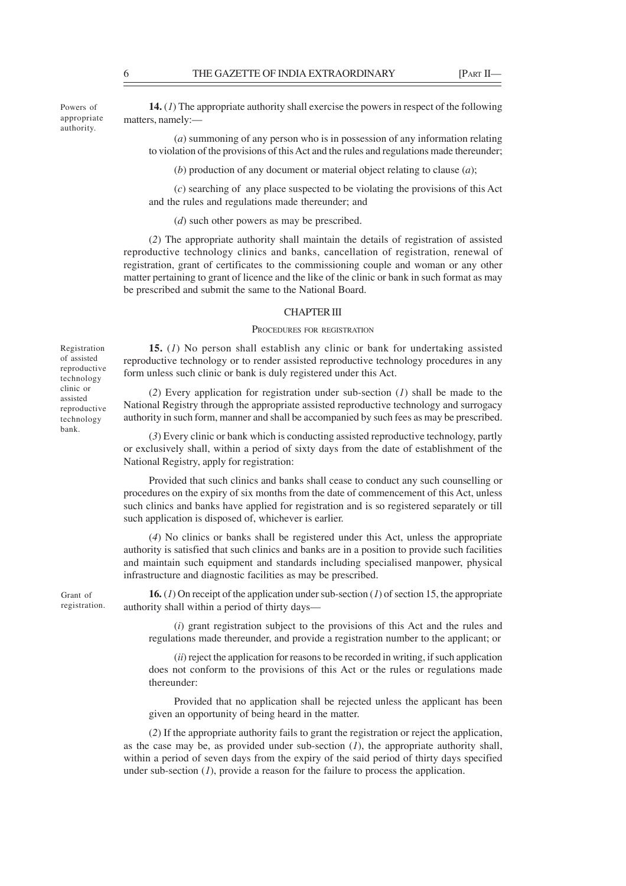Powers of appropriate authority.

**14.** (*1*) The appropriate authority shall exercise the powers in respect of the following matters, namely:—

(*a*) summoning of any person who is in possession of any information relating to violation of the provisions of this Act and the rules and regulations made thereunder;

(*b*) production of any document or material object relating to clause (*a*);

(*c*) searching of any place suspected to be violating the provisions of this Act and the rules and regulations made thereunder; and

(*d*) such other powers as may be prescribed.

(*2*) The appropriate authority shall maintain the details of registration of assisted reproductive technology clinics and banks, cancellation of registration, renewal of registration, grant of certificates to the commissioning couple and woman or any other matter pertaining to grant of licence and the like of the clinic or bank in such format as may be prescribed and submit the same to the National Board.

### CHAPTER III

#### PROCEDURES FOR REGISTRATION

**15.** (*1*) No person shall establish any clinic or bank for undertaking assisted reproductive technology or to render assisted reproductive technology procedures in any form unless such clinic or bank is duly registered under this Act.

(*2*) Every application for registration under sub-section (*1*) shall be made to the National Registry through the appropriate assisted reproductive technology and surrogacy authority in such form, manner and shall be accompanied by such fees as may be prescribed.

(*3*) Every clinic or bank which is conducting assisted reproductive technology, partly or exclusively shall, within a period of sixty days from the date of establishment of the National Registry, apply for registration:

Provided that such clinics and banks shall cease to conduct any such counselling or procedures on the expiry of six months from the date of commencement of this Act, unless such clinics and banks have applied for registration and is so registered separately or till such application is disposed of, whichever is earlier.

(*4*) No clinics or banks shall be registered under this Act, unless the appropriate authority is satisfied that such clinics and banks are in a position to provide such facilities and maintain such equipment and standards including specialised manpower, physical infrastructure and diagnostic facilities as may be prescribed.

Grant of registration.

**16.** (*1*) On receipt of the application under sub-section (*1*) of section 15, the appropriate authority shall within a period of thirty days—

(*i*) grant registration subject to the provisions of this Act and the rules and regulations made thereunder, and provide a registration number to the applicant; or

(*ii*) reject the application for reasons to be recorded in writing, if such application does not conform to the provisions of this Act or the rules or regulations made thereunder:

Provided that no application shall be rejected unless the applicant has been given an opportunity of being heard in the matter.

(*2*) If the appropriate authority fails to grant the registration or reject the application, as the case may be, as provided under sub-section (*1*), the appropriate authority shall, within a period of seven days from the expiry of the said period of thirty days specified under sub-section (*1*), provide a reason for the failure to process the application.

Registration of assisted reproductive technology clinic or assisted reproductive technology bank.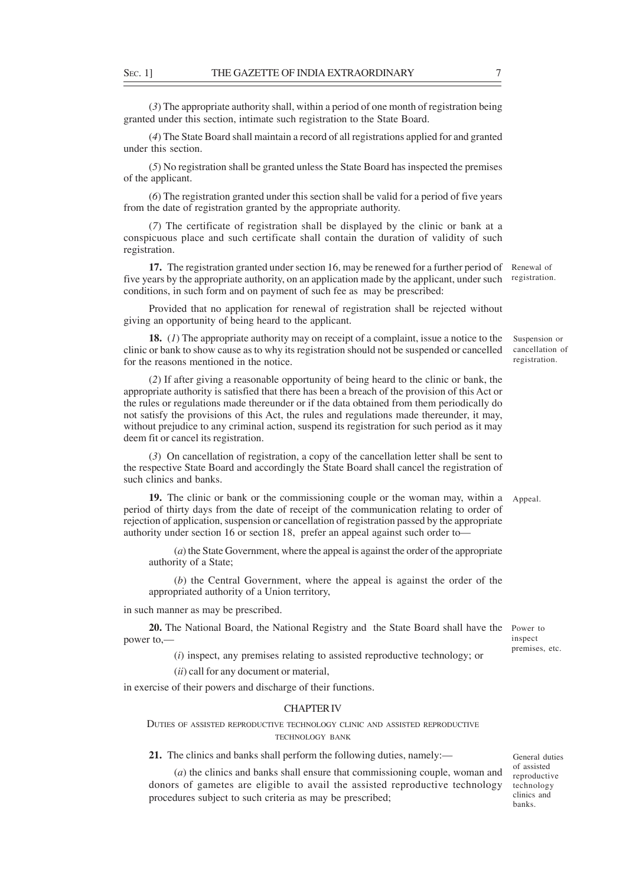(*3*) The appropriate authority shall, within a period of one month of registration being granted under this section, intimate such registration to the State Board.

(*4*) The State Board shall maintain a record of all registrations applied for and granted under this section.

(*5*) No registration shall be granted unless the State Board has inspected the premises of the applicant.

(*6*) The registration granted under this section shall be valid for a period of five years from the date of registration granted by the appropriate authority.

(*7*) The certificate of registration shall be displayed by the clinic or bank at a conspicuous place and such certificate shall contain the duration of validity of such registration.

17. The registration granted under section 16, may be renewed for a further period of Renewal of five years by the appropriate authority, on an application made by the applicant, under such registration. conditions, in such form and on payment of such fee as may be prescribed:

Provided that no application for renewal of registration shall be rejected without giving an opportunity of being heard to the applicant.

**18.** (*1*) The appropriate authority may on receipt of a complaint, issue a notice to the clinic or bank to show cause as to why its registration should not be suspended or cancelled for the reasons mentioned in the notice.

(*2*) If after giving a reasonable opportunity of being heard to the clinic or bank, the appropriate authority is satisfied that there has been a breach of the provision of this Act or the rules or regulations made thereunder or if the data obtained from them periodically do not satisfy the provisions of this Act, the rules and regulations made thereunder, it may, without prejudice to any criminal action, suspend its registration for such period as it may deem fit or cancel its registration.

(*3*) On cancellation of registration, a copy of the cancellation letter shall be sent to the respective State Board and accordingly the State Board shall cancel the registration of such clinics and banks.

**19.** The clinic or bank or the commissioning couple or the woman may, within a Appeal. period of thirty days from the date of receipt of the communication relating to order of rejection of application, suspension or cancellation of registration passed by the appropriate authority under section 16 or section 18, prefer an appeal against such order to—

(*a*) the State Government, where the appeal is against the order of the appropriate authority of a State;

(*b*) the Central Government, where the appeal is against the order of the appropriated authority of a Union territory,

in such manner as may be prescribed.

20. The National Board, the National Registry and the State Board shall have the Power to power to,—

inspect premises, etc.

(*i*) inspect, any premises relating to assisted reproductive technology; or

(*ii*) call for any document or material,

in exercise of their powers and discharge of their functions.

### CHAPTER IV

DUTIES OF ASSISTED REPRODUCTIVE TECHNOLOGY CLINIC AND ASSISTED REPRODUCTIVE TECHNOLOGY BANK

**21.** The clinics and banks shall perform the following duties, namely:—

(*a*) the clinics and banks shall ensure that commissioning couple, woman and donors of gametes are eligible to avail the assisted reproductive technology procedures subject to such criteria as may be prescribed;

General duties of assisted reproductive technology clinics and banks.

Suspension or cancellation of registration.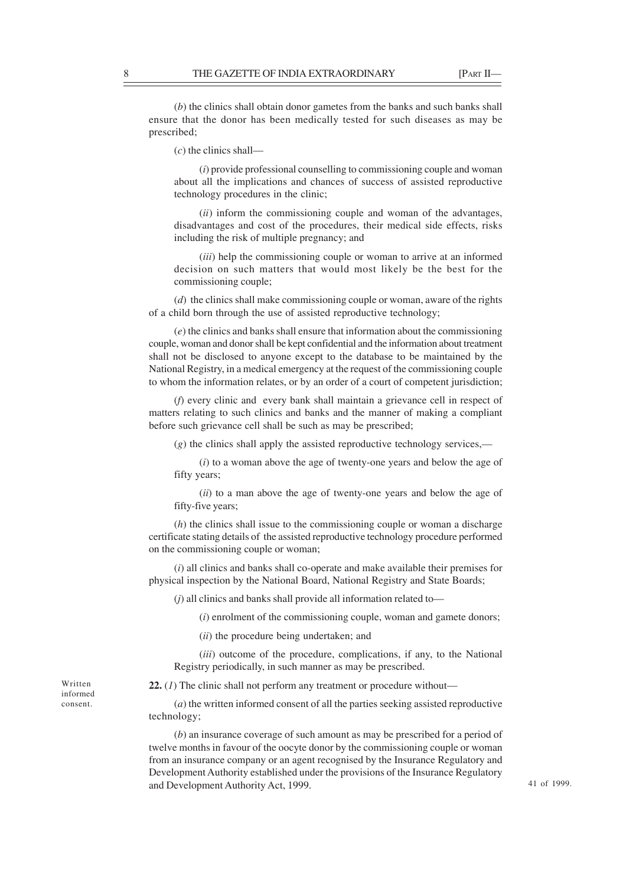(*b*) the clinics shall obtain donor gametes from the banks and such banks shall ensure that the donor has been medically tested for such diseases as may be prescribed;

(*c*) the clinics shall—

(*i*) provide professional counselling to commissioning couple and woman about all the implications and chances of success of assisted reproductive technology procedures in the clinic;

(*ii*) inform the commissioning couple and woman of the advantages, disadvantages and cost of the procedures, their medical side effects, risks including the risk of multiple pregnancy; and

(*iii*) help the commissioning couple or woman to arrive at an informed decision on such matters that would most likely be the best for the commissioning couple;

(*d*) the clinics shall make commissioning couple or woman, aware of the rights of a child born through the use of assisted reproductive technology;

(*e*) the clinics and banks shall ensure that information about the commissioning couple, woman and donor shall be kept confidential and the information about treatment shall not be disclosed to anyone except to the database to be maintained by the National Registry, in a medical emergency at the request of the commissioning couple to whom the information relates, or by an order of a court of competent jurisdiction;

(*f*) every clinic and every bank shall maintain a grievance cell in respect of matters relating to such clinics and banks and the manner of making a compliant before such grievance cell shall be such as may be prescribed;

(*g*) the clinics shall apply the assisted reproductive technology services,—

(*i*) to a woman above the age of twenty-one years and below the age of fifty years;

(*ii*) to a man above the age of twenty-one years and below the age of fifty-five years;

(*h*) the clinics shall issue to the commissioning couple or woman a discharge certificate stating details of the assisted reproductive technology procedure performed on the commissioning couple or woman;

(*i*) all clinics and banks shall co-operate and make available their premises for physical inspection by the National Board, National Registry and State Boards;

(*j*) all clinics and banks shall provide all information related to—

(*i*) enrolment of the commissioning couple, woman and gamete donors;

(*ii*) the procedure being undertaken; and

(*iii*) outcome of the procedure, complications, if any, to the National Registry periodically, in such manner as may be prescribed.

**22.** (*1*) The clinic shall not perform any treatment or procedure without—

(*a*) the written informed consent of all the parties seeking assisted reproductive technology;

(*b*) an insurance coverage of such amount as may be prescribed for a period of twelve months in favour of the oocyte donor by the commissioning couple or woman from an insurance company or an agent recognised by the Insurance Regulatory and Development Authority established under the provisions of the Insurance Regulatory and Development Authority Act, 1999.

Written informed consent.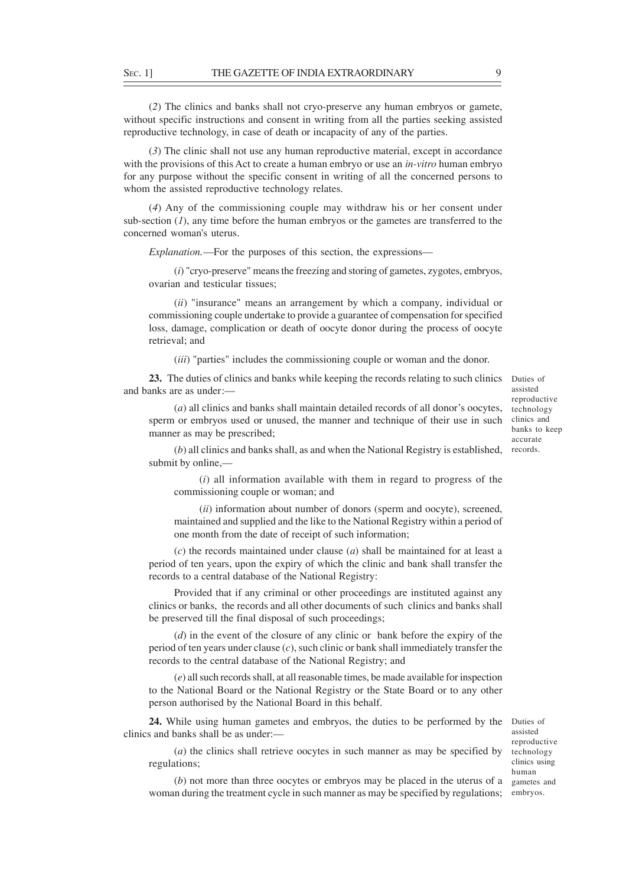(*2*) The clinics and banks shall not cryo-preserve any human embryos or gamete, without specific instructions and consent in writing from all the parties seeking assisted reproductive technology, in case of death or incapacity of any of the parties.

(*3*) The clinic shall not use any human reproductive material, except in accordance with the provisions of this Act to create a human embryo or use an *in-vitro* human embryo for any purpose without the specific consent in writing of all the concerned persons to whom the assisted reproductive technology relates.

(*4*) Any of the commissioning couple may withdraw his or her consent under sub-section  $(1)$ , any time before the human embryos or the gametes are transferred to the concerned woman's uterus.

*Explanation.*—For the purposes of this section, the expressions—

(*i*) "cryo-preserve" means the freezing and storing of gametes, zygotes, embryos, ovarian and testicular tissues;

(*ii*) "insurance" means an arrangement by which a company, individual or commissioning couple undertake to provide a guarantee of compensation for specified loss, damage, complication or death of oocyte donor during the process of oocyte retrieval; and

(*iii*) "parties" includes the commissioning couple or woman and the donor.

23. The duties of clinics and banks while keeping the records relating to such clinics Duties of and banks are as under:—

(*a*) all clinics and banks shall maintain detailed records of all donor's oocytes, sperm or embryos used or unused, the manner and technique of their use in such manner as may be prescribed;

assisted reproductive technology clinics and banks to keep accurate

(b) all clinics and banks shall, as and when the National Registry is established, records. submit by online,—

(*i*) all information available with them in regard to progress of the commissioning couple or woman; and

(*ii*) information about number of donors (sperm and oocyte), screened, maintained and supplied and the like to the National Registry within a period of one month from the date of receipt of such information;

(*c*) the records maintained under clause (*a*) shall be maintained for at least a period of ten years, upon the expiry of which the clinic and bank shall transfer the records to a central database of the National Registry:

Provided that if any criminal or other proceedings are instituted against any clinics or banks, the records and all other documents of such clinics and banks shall be preserved till the final disposal of such proceedings;

(*d*) in the event of the closure of any clinic or bank before the expiry of the period of ten years under clause (*c*), such clinic or bank shall immediately transfer the records to the central database of the National Registry; and

(*e*) all such records shall, at all reasonable times, be made available for inspection to the National Board or the National Registry or the State Board or to any other person authorised by the National Board in this behalf.

24. While using human gametes and embryos, the duties to be performed by the Duties of clinics and banks shall be as under:—

assisted reproductive technology clinics using human gametes and

(*a*) the clinics shall retrieve oocytes in such manner as may be specified by regulations;

(*b*) not more than three oocytes or embryos may be placed in the uterus of a woman during the treatment cycle in such manner as may be specified by regulations; embryos.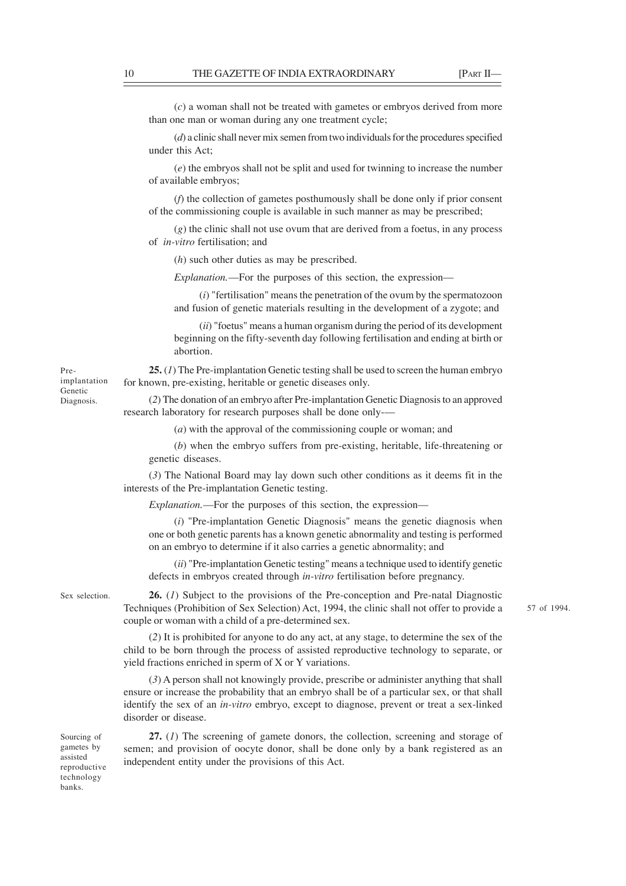57 of 1994.

(*c*) a woman shall not be treated with gametes or embryos derived from more than one man or woman during any one treatment cycle;

(*d*) a clinic shall never mix semen from two individuals for the procedures specified under this Act;

(*e*) the embryos shall not be split and used for twinning to increase the number of available embryos;

(*f*) the collection of gametes posthumously shall be done only if prior consent of the commissioning couple is available in such manner as may be prescribed;

(*g*) the clinic shall not use ovum that are derived from a foetus, in any process of *in-vitro* fertilisation; and

(*h*) such other duties as may be prescribed.

*Explanation.*—For the purposes of this section, the expression—

(*i*) "fertilisation" means the penetration of the ovum by the spermatozoon and fusion of genetic materials resulting in the development of a zygote; and

(*ii*) "foetus" means a human organism during the period of its development beginning on the fifty-seventh day following fertilisation and ending at birth or abortion.

**25.** (*1*) The Pre-implantation Genetic testing shall be used to screen the human embryo for known, pre-existing, heritable or genetic diseases only.

(*2*) The donation of an embryo after Pre-implantation Genetic Diagnosis to an approved research laboratory for research purposes shall be done only-—

(*a*) with the approval of the commissioning couple or woman; and

(*b*) when the embryo suffers from pre-existing, heritable, life-threatening or genetic diseases.

(*3*) The National Board may lay down such other conditions as it deems fit in the interests of the Pre-implantation Genetic testing.

*Explanation.*—For the purposes of this section, the expression—

(*i*) "Pre-implantation Genetic Diagnosis" means the genetic diagnosis when one or both genetic parents has a known genetic abnormality and testing is performed on an embryo to determine if it also carries a genetic abnormality; and

(*ii*) "Pre-implantation Genetic testing" means a technique used to identify genetic defects in embryos created through *in-vitro* fertilisation before pregnancy.

Sex selection.

**26.** (*1*) Subject to the provisions of the Pre-conception and Pre-natal Diagnostic Techniques (Prohibition of Sex Selection) Act, 1994, the clinic shall not offer to provide a couple or woman with a child of a pre-determined sex.

(*2*) It is prohibited for anyone to do any act, at any stage, to determine the sex of the child to be born through the process of assisted reproductive technology to separate, or yield fractions enriched in sperm of X or Y variations.

(*3*) A person shall not knowingly provide, prescribe or administer anything that shall ensure or increase the probability that an embryo shall be of a particular sex, or that shall identify the sex of an *in-vitro* embryo, except to diagnose, prevent or treat a sex-linked disorder or disease.

Sourcing of gametes by assisted reproductive technology banks.

**27.** (*1*) The screening of gamete donors, the collection, screening and storage of semen; and provision of oocyte donor, shall be done only by a bank registered as an independent entity under the provisions of this Act.

Preimplantation Genetic Diagnosis.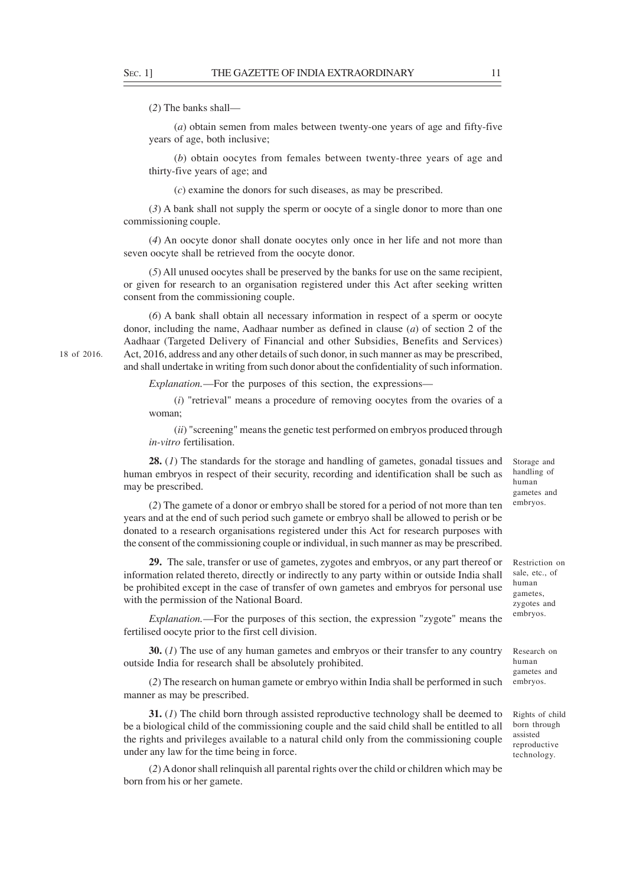(*2*) The banks shall—

(*a*) obtain semen from males between twenty-one years of age and fifty-five years of age, both inclusive;

(*b*) obtain oocytes from females between twenty-three years of age and thirty-five years of age; and

(*c*) examine the donors for such diseases, as may be prescribed.

(*3*) A bank shall not supply the sperm or oocyte of a single donor to more than one commissioning couple.

(*4*) An oocyte donor shall donate oocytes only once in her life and not more than seven oocyte shall be retrieved from the oocyte donor.

(*5*) All unused oocytes shall be preserved by the banks for use on the same recipient, or given for research to an organisation registered under this Act after seeking written consent from the commissioning couple.

(*6*) A bank shall obtain all necessary information in respect of a sperm or oocyte donor, including the name, Aadhaar number as defined in clause (*a*) of section 2 of the Aadhaar (Targeted Delivery of Financial and other Subsidies, Benefits and Services) Act, 2016, address and any other details of such donor, in such manner as may be prescribed, and shall undertake in writing from such donor about the confidentiality of such information.

*Explanation.*—For the purposes of this section, the expressions—

(*i*) "retrieval" means a procedure of removing oocytes from the ovaries of a woman;

(*ii*) "screening" means the genetic test performed on embryos produced through *in-vitro* fertilisation.

**28.** (*1*) The standards for the storage and handling of gametes, gonadal tissues and human embryos in respect of their security, recording and identification shall be such as may be prescribed.

handling of human gametes and embryos.

Storage and

(*2*) The gamete of a donor or embryo shall be stored for a period of not more than ten years and at the end of such period such gamete or embryo shall be allowed to perish or be donated to a research organisations registered under this Act for research purposes with the consent of the commissioning couple or individual, in such manner as may be prescribed.

**29.** The sale, transfer or use of gametes, zygotes and embryos, or any part thereof or information related thereto, directly or indirectly to any party within or outside India shall be prohibited except in the case of transfer of own gametes and embryos for personal use with the permission of the National Board.

*Explanation.*—For the purposes of this section, the expression "zygote" means the fertilised oocyte prior to the first cell division.

**30.** (*1*) The use of any human gametes and embryos or their transfer to any country outside India for research shall be absolutely prohibited.

(*2*) The research on human gamete or embryo within India shall be performed in such manner as may be prescribed.

**31.** (*1*) The child born through assisted reproductive technology shall be deemed to be a biological child of the commissioning couple and the said child shall be entitled to all the rights and privileges available to a natural child only from the commissioning couple under any law for the time being in force.

(*2*) A donor shall relinquish all parental rights over the child or children which may be born from his or her gamete.

Restriction on sale, etc., of human gametes, zygotes and embryos.

Research on human gametes and embryos.

Rights of child born through assisted reproductive technology.

18 of 2016.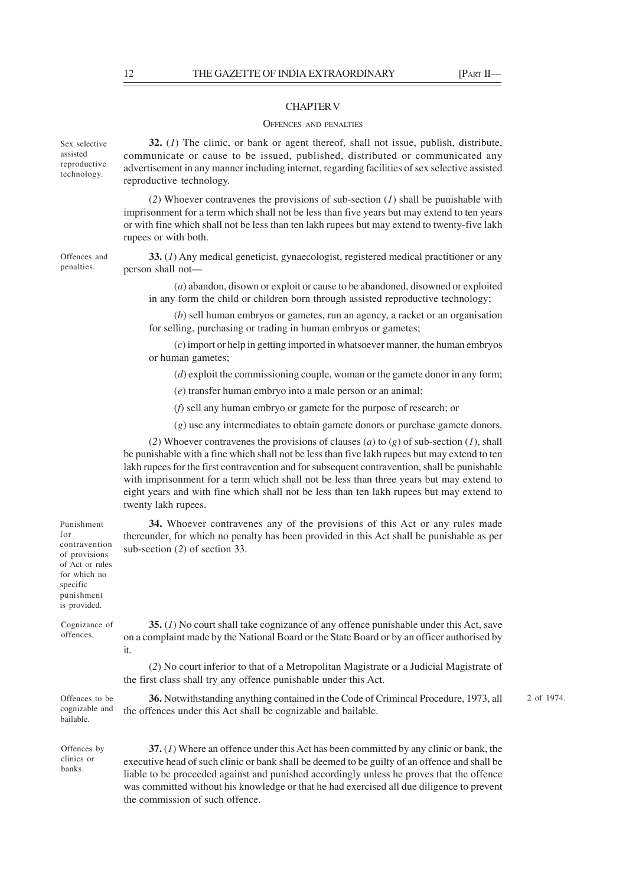### CHAPTER V

#### OFFENCES AND PENALTIES

**32.** (*1*) The clinic, or bank or agent thereof, shall not issue, publish, distribute, communicate or cause to be issued, published, distributed or communicated any advertisement in any manner including internet, regarding facilities of sex selective assisted reproductive technology.

(*2*) Whoever contravenes the provisions of sub-section (*1*) shall be punishable with imprisonment for a term which shall not be less than five years but may extend to ten years or with fine which shall not be less than ten lakh rupees but may extend to twenty-five lakh rupees or with both.

**33.** (*1*) Any medical geneticist, gynaecologist, registered medical practitioner or any person shall not—

(*a*) abandon, disown or exploit or cause to be abandoned, disowned or exploited in any form the child or children born through assisted reproductive technology;

(*b*) sell human embryos or gametes, run an agency, a racket or an organisation for selling, purchasing or trading in human embryos or gametes;

(*c*) import or help in getting imported in whatsoever manner, the human embryos or human gametes;

(*d*) exploit the commissioning couple, woman or the gamete donor in any form;

(*e*) transfer human embryo into a male person or an animal;

(*f*) sell any human embryo or gamete for the purpose of research; or

(*g*) use any intermediates to obtain gamete donors or purchase gamete donors.

(2) Whoever contravenes the provisions of clauses (*a*) to (*g*) of sub-section (*I*), shall be punishable with a fine which shall not be less than five lakh rupees but may extend to ten lakh rupees for the first contravention and for subsequent contravention, shall be punishable with imprisonment for a term which shall not be less than three years but may extend to eight years and with fine which shall not be less than ten lakh rupees but may extend to twenty lakh rupees.

**34.** Whoever contravenes any of the provisions of this Act or any rules made thereunder, for which no penalty has been provided in this Act shall be punishable as per sub-section (*2*) of section 33.

**35.** (*1*) No court shall take cognizance of any offence punishable under this Act, save on a complaint made by the National Board or the State Board or by an officer authorised by it.

(*2*) No court inferior to that of a Metropolitan Magistrate or a Judicial Magistrate of the first class shall try any offence punishable under this Act.

**36.** Notwithstanding anything contained in the Code of Crimincal Procedure, 1973, all the offences under this Act shall be cognizable and bailable.

Offences to be cognizable and bailable.

Offences by clinics or banks.

**37.** (*1*) Where an offence under this Act has been committed by any clinic or bank, the executive head of such clinic or bank shall be deemed to be guilty of an offence and shall be liable to be proceeded against and punished accordingly unless he proves that the offence was committed without his knowledge or that he had exercised all due diligence to prevent the commission of such offence.

is provided. Cognizance of offences.

Sex selective assisted reproductive technology.

Offences and penalties.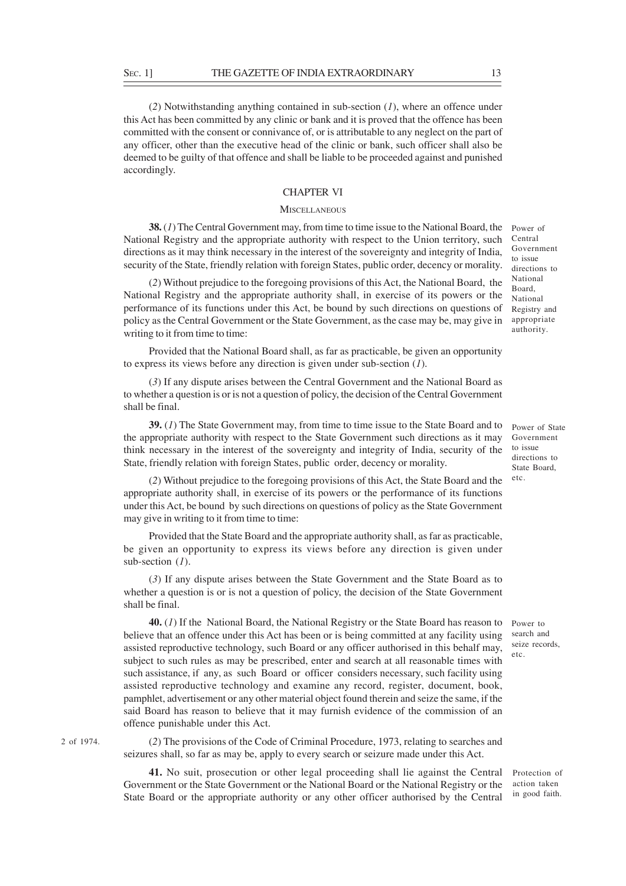(*2*) Notwithstanding anything contained in sub-section (*1*), where an offence under this Act has been committed by any clinic or bank and it is proved that the offence has been committed with the consent or connivance of, or is attributable to any neglect on the part of any officer, other than the executive head of the clinic or bank, such officer shall also be deemed to be guilty of that offence and shall be liable to be proceeded against and punished accordingly.

### CHAPTER VI

## **MISCELLANEOUS**

**38.** (*1*) The Central Government may, from time to time issue to the National Board, the Power of National Registry and the appropriate authority with respect to the Union territory, such directions as it may think necessary in the interest of the sovereignty and integrity of India, security of the State, friendly relation with foreign States, public order, decency or morality.

(*2*) Without prejudice to the foregoing provisions of this Act, the National Board, the National Registry and the appropriate authority shall, in exercise of its powers or the performance of its functions under this Act, be bound by such directions on questions of policy as the Central Government or the State Government, as the case may be, may give in writing to it from time to time:

Provided that the National Board shall, as far as practicable, be given an opportunity to express its views before any direction is given under sub-section (*1*).

(*3*) If any dispute arises between the Central Government and the National Board as to whether a question is or is not a question of policy, the decision of the Central Government shall be final.

**39.** (*1*) The State Government may, from time to time issue to the State Board and to the appropriate authority with respect to the State Government such directions as it may think necessary in the interest of the sovereignty and integrity of India, security of the State, friendly relation with foreign States, public order, decency or morality.

(*2*) Without prejudice to the foregoing provisions of this Act, the State Board and the appropriate authority shall, in exercise of its powers or the performance of its functions under this Act, be bound by such directions on questions of policy as the State Government may give in writing to it from time to time:

Provided that the State Board and the appropriate authority shall, as far as practicable, be given an opportunity to express its views before any direction is given under sub-section (*1*).

(*3*) If any dispute arises between the State Government and the State Board as to whether a question is or is not a question of policy, the decision of the State Government shall be final.

**40.** (*1*) If the National Board, the National Registry or the State Board has reason to Power to believe that an offence under this Act has been or is being committed at any facility using assisted reproductive technology, such Board or any officer authorised in this behalf may, subject to such rules as may be prescribed, enter and search at all reasonable times with such assistance, if any, as such Board or officer considers necessary, such facility using assisted reproductive technology and examine any record, register, document, book, pamphlet, advertisement or any other material object found therein and seize the same, if the said Board has reason to believe that it may furnish evidence of the commission of an offence punishable under this Act.

(*2*) The provisions of the Code of Criminal Procedure, 1973, relating to searches and seizures shall, so far as may be, apply to every search or seizure made under this Act.

**41.** No suit, prosecution or other legal proceeding shall lie against the Central Government or the State Government or the National Board or the National Registry or the State Board or the appropriate authority or any other officer authorised by the Central

Central Government to issue directions to National Board, National Registry and appropriate authority.

Power of State Government to issue directions to State Board, etc.

search and seize records, etc.

Protection of action taken in good faith.

2 of 1974.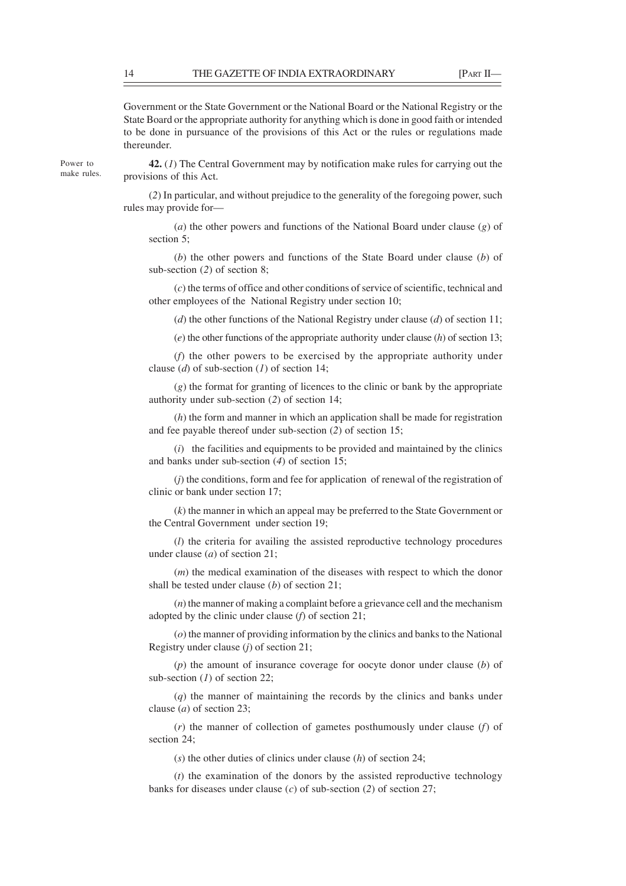Government or the State Government or the National Board or the National Registry or the State Board or the appropriate authority for anything which is done in good faith or intended to be done in pursuance of the provisions of this Act or the rules or regulations made thereunder.

**42.** (*1*) The Central Government may by notification make rules for carrying out the provisions of this Act.

(*2*) In particular, and without prejudice to the generality of the foregoing power, such rules may provide for—

(*a*) the other powers and functions of the National Board under clause (*g*) of section 5:

(*b*) the other powers and functions of the State Board under clause (*b*) of sub-section (*2*) of section 8;

(*c*) the terms of office and other conditions of service of scientific, technical and other employees of the National Registry under section 10;

(*d*) the other functions of the National Registry under clause (*d*) of section 11;

(*e*) the other functions of the appropriate authority under clause (*h*) of section 13;

(*f*) the other powers to be exercised by the appropriate authority under clause (*d*) of sub-section (*1*) of section 14;

(*g*) the format for granting of licences to the clinic or bank by the appropriate authority under sub-section (*2*) of section 14;

(*h*) the form and manner in which an application shall be made for registration and fee payable thereof under sub-section (*2*) of section 15;

(*i*) the facilities and equipments to be provided and maintained by the clinics and banks under sub-section (*4*) of section 15;

(*j*) the conditions, form and fee for application of renewal of the registration of clinic or bank under section 17;

(*k*) the manner in which an appeal may be preferred to the State Government or the Central Government under section 19;

(*l*) the criteria for availing the assisted reproductive technology procedures under clause (*a*) of section 21;

(*m*) the medical examination of the diseases with respect to which the donor shall be tested under clause (*b*) of section 21;

(*n*) the manner of making a complaint before a grievance cell and the mechanism adopted by the clinic under clause (*f*) of section 21;

(*o*) the manner of providing information by the clinics and banks to the National Registry under clause (*j*) of section 21;

(*p*) the amount of insurance coverage for oocyte donor under clause (*b*) of sub-section (*1*) of section 22;

(*q*) the manner of maintaining the records by the clinics and banks under clause (*a*) of section 23;

(*r*) the manner of collection of gametes posthumously under clause (*f*) of section 24;

(*s*) the other duties of clinics under clause (*h*) of section 24;

(*t*) the examination of the donors by the assisted reproductive technology banks for diseases under clause (*c*) of sub-section (*2*) of section 27;

Power to make rules.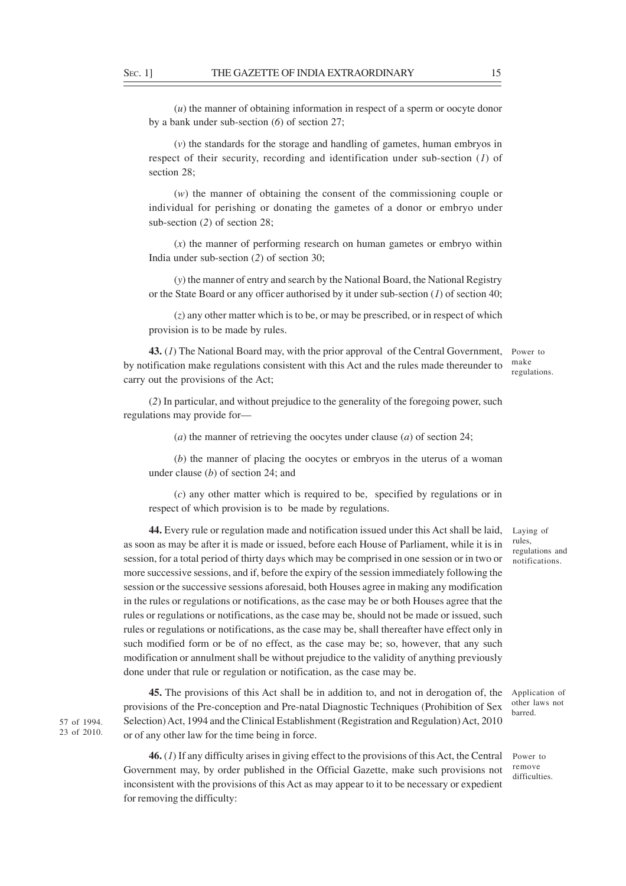(*u*) the manner of obtaining information in respect of a sperm or oocyte donor by a bank under sub-section (*6*) of section 27;

(*v*) the standards for the storage and handling of gametes, human embryos in respect of their security, recording and identification under sub-section (*1*) of section 28;

(*w*) the manner of obtaining the consent of the commissioning couple or individual for perishing or donating the gametes of a donor or embryo under sub-section (*2*) of section 28;

(*x*) the manner of performing research on human gametes or embryo within India under sub-section (*2*) of section 30;

(*y*) the manner of entry and search by the National Board, the National Registry or the State Board or any officer authorised by it under sub-section (*1*) of section 40;

(*z*) any other matter which is to be, or may be prescribed, or in respect of which provision is to be made by rules.

**43.** (*1*) The National Board may, with the prior approval of the Central Government, by notification make regulations consistent with this Act and the rules made thereunder to carry out the provisions of the Act; Power to make regulations.

(*2*) In particular, and without prejudice to the generality of the foregoing power, such regulations may provide for—

(*a*) the manner of retrieving the oocytes under clause (*a*) of section 24;

(*b*) the manner of placing the oocytes or embryos in the uterus of a woman under clause (*b*) of section 24; and

(*c*) any other matter which is required to be, specified by regulations or in respect of which provision is to be made by regulations.

**44.** Every rule or regulation made and notification issued under this Act shall be laid, as soon as may be after it is made or issued, before each House of Parliament, while it is in session, for a total period of thirty days which may be comprised in one session or in two or more successive sessions, and if, before the expiry of the session immediately following the session or the successive sessions aforesaid, both Houses agree in making any modification in the rules or regulations or notifications, as the case may be or both Houses agree that the rules or regulations or notifications, as the case may be, should not be made or issued, such rules or regulations or notifications, as the case may be, shall thereafter have effect only in such modified form or be of no effect, as the case may be; so, however, that any such modification or annulment shall be without prejudice to the validity of anything previously done under that rule or regulation or notification, as the case may be.

**45.** The provisions of this Act shall be in addition to, and not in derogation of, the provisions of the Pre-conception and Pre-natal Diagnostic Techniques (Prohibition of Sex Selection) Act, 1994 and the Clinical Establishment (Registration and Regulation) Act, 2010 or of any other law for the time being in force.

**46.** (*1*) If any difficulty arises in giving effect to the provisions of this Act, the Central Government may, by order published in the Official Gazette, make such provisions not inconsistent with the provisions of this Act as may appear to it to be necessary or expedient for removing the difficulty:

Laying of rules, regulations and notifications.

Application of other laws not barred.

Power to remove difficulties.

57 of 1994. 23 of 2010.